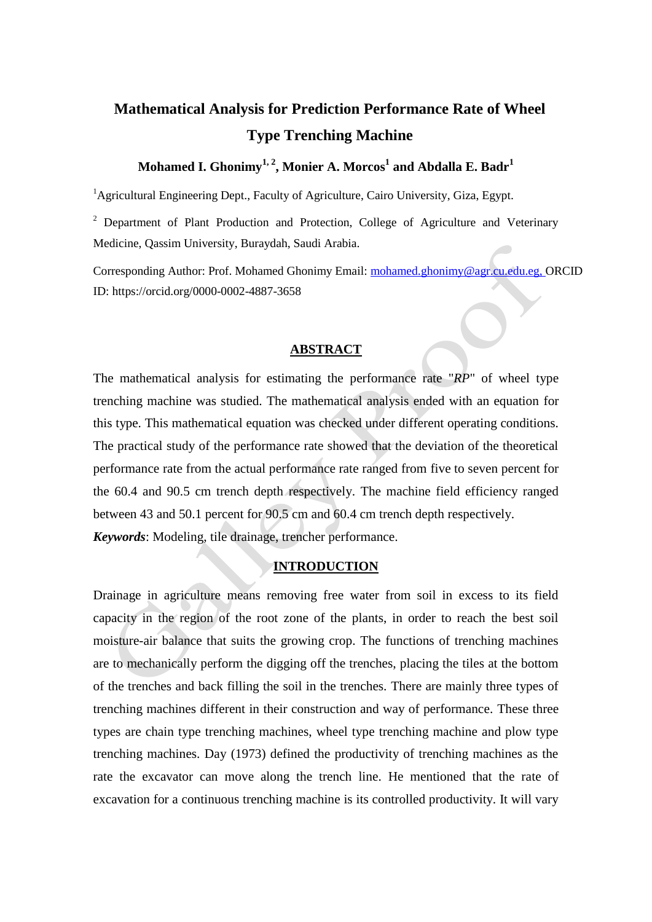# **Mathematical Analysis for Prediction Performance Rate of Wheel Type Trenching Machine**

## **Mohamed I. Ghonimy1, 2, Monier A. Morcos<sup>1</sup> and Abdalla E. Badr<sup>1</sup>**

<sup>1</sup>Agricultural Engineering Dept., Faculty of Agriculture, Cairo University, Giza, Egypt.

<sup>2</sup> Department of Plant Production and Protection, College of Agriculture and Veterinary Medicine, Qassim University, Buraydah, Saudi Arabia.

Corresponding Author: Prof. Mohamed Ghonimy Email: [mohamed.ghonimy@agr.cu.edu.eg,](mailto:mohamed.ghonimy@agr.cu.edu.eg) ORCID ID: https://orcid.org/0000-0002-4887-3658

#### **ABSTRACT**

The mathematical analysis for estimating the performance rate "*RP*" of wheel type trenching machine was studied. The mathematical analysis ended with an equation for this type. This mathematical equation was checked under different operating conditions. The practical study of the performance rate showed that the deviation of the theoretical performance rate from the actual performance rate ranged from five to seven percent for the 60.4 and 90.5 cm trench depth respectively. The machine field efficiency ranged between 43 and 50.1 percent for 90.5 cm and 60.4 cm trench depth respectively. *Keywords*: Modeling, tile drainage, trencher performance.

#### **INTRODUCTION**

Drainage in agriculture means removing free water from soil in excess to its field capacity in the region of the root zone of the plants, in order to reach the best soil moisture-air balance that suits the growing crop. The functions of trenching machines are to mechanically perform the digging off the trenches, placing the tiles at the bottom of the trenches and back filling the soil in the trenches. There are mainly three types of trenching machines different in their construction and way of performance. These three types are chain type trenching machines, wheel type trenching machine and plow type trenching machines. Day (1973) defined the productivity of trenching machines as the rate the excavator can move along the trench line. He mentioned that the rate of excavation for a continuous trenching machine is its controlled productivity. It will vary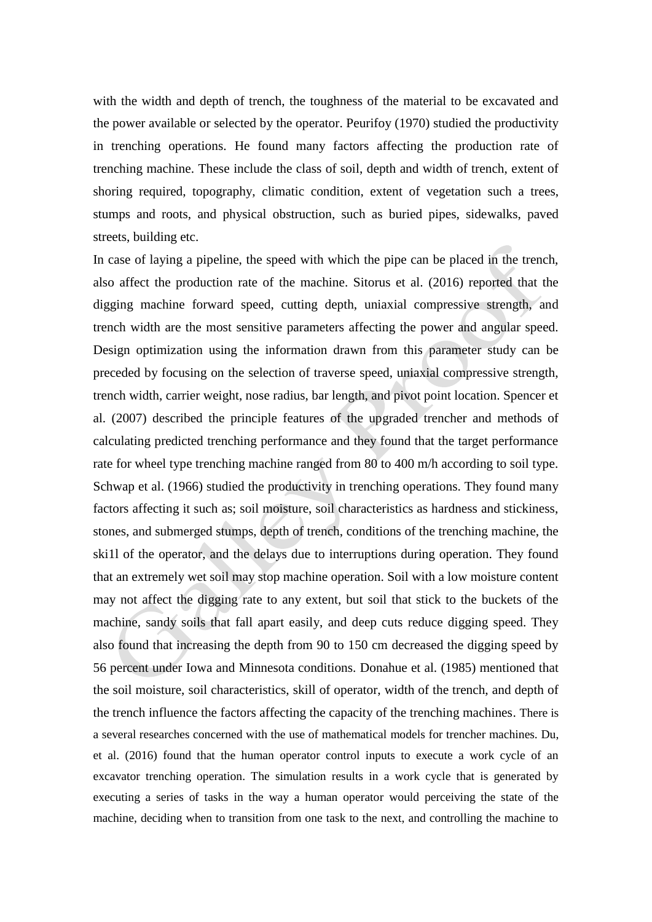with the width and depth of trench, the toughness of the material to be excavated and the power available or selected by the operator. Peurifoy (1970) studied the productivity in trenching operations. He found many factors affecting the production rate of trenching machine. These include the class of soil, depth and width of trench, extent of shoring required, topography, climatic condition, extent of vegetation such a trees, stumps and roots, and physical obstruction, such as buried pipes, sidewalks, paved streets, building etc.

In case of laying a pipeline, the speed with which the pipe can be placed in the trench, also affect the production rate of the machine. Sitorus et al. (2016) reported that the digging machine forward speed, cutting depth, uniaxial compressive strength, and trench width are the most sensitive parameters affecting the power and angular speed. Design optimization using the information drawn from this parameter study can be preceded by focusing on the selection of traverse speed, uniaxial compressive strength, trench width, carrier weight, nose radius, bar length, and pivot point location. Spencer et al. (2007) described the principle features of the upgraded trencher and methods of calculating predicted trenching performance and they found that the target performance rate for wheel type trenching machine ranged from 80 to 400 m/h according to soil type. Schwap et al. (1966) studied the productivity in trenching operations. They found many factors affecting it such as; soil moisture, soil characteristics as hardness and stickiness, stones, and submerged stumps, depth of trench, conditions of the trenching machine, the ski1l of the operator, and the delays due to interruptions during operation. They found that an extremely wet soil may stop machine operation. Soil with a low moisture content may not affect the digging rate to any extent, but soil that stick to the buckets of the machine, sandy soils that fall apart easily, and deep cuts reduce digging speed. They also found that increasing the depth from 90 to 150 cm decreased the digging speed by 56 percent under Iowa and Minnesota conditions. Donahue et al. (1985) mentioned that the soil moisture, soil characteristics, skill of operator, width of the trench, and depth of the trench influence the factors affecting the capacity of the trenching machines. There is a several researches concerned with the use of mathematical models for trencher machines. Du, et al. (2016) found that the human operator control inputs to execute a work cycle of an excavator trenching operation. The simulation results in a work cycle that is generated by executing a series of tasks in the way a human operator would perceiving the state of the machine, deciding when to transition from one task to the next, and controlling the machine to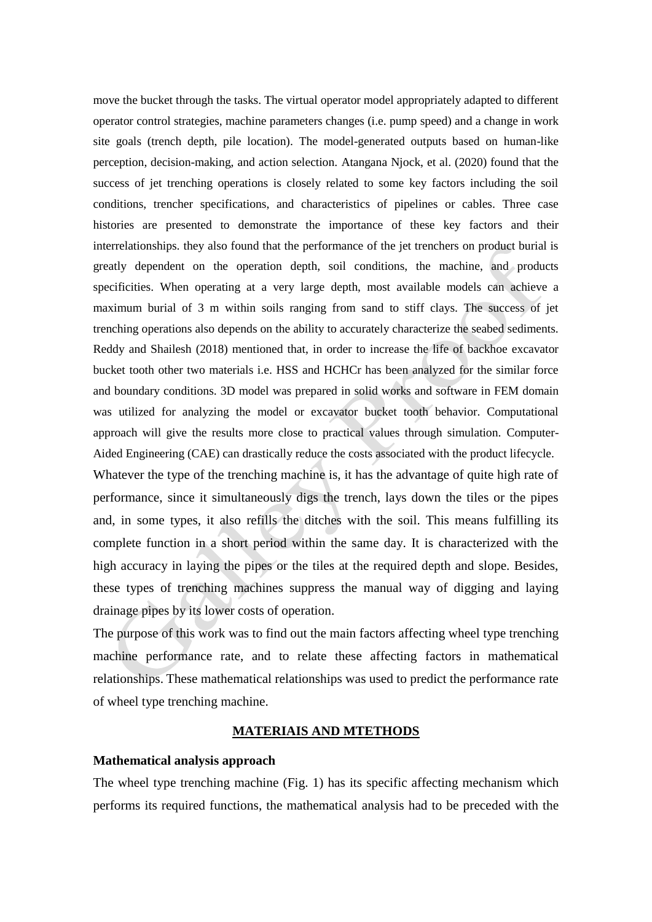move the bucket through the tasks. The virtual operator model appropriately adapted to different operator control strategies, machine parameters changes (i.e. pump speed) and a change in work site goals (trench depth, pile location). The model-generated outputs based on human-like perception, decision-making, and action selection. Atangana Njock, et al. (2020) found that the success of jet trenching operations is closely related to some key factors including the soil conditions, trencher specifications, and characteristics of pipelines or cables. Three case histories are presented to demonstrate the importance of these key factors and their interrelationships. they also found that the performance of the jet trenchers on product burial is greatly dependent on the operation depth, soil conditions, the machine, and products specificities. When operating at a very large depth, most available models can achieve a maximum burial of 3 m within soils ranging from sand to stiff clays. The success of jet trenching operations also depends on the ability to accurately characterize the seabed sediments. Reddy and Shailesh (2018) mentioned that, in order to increase the life of backhoe excavator bucket tooth other two materials i.e. HSS and HCHCr has been analyzed for the similar force and boundary conditions. 3D model was prepared in solid works and software in FEM domain was utilized for analyzing the model or excavator bucket tooth behavior. Computational approach will give the results more close to practical values through simulation. Computer-Aided Engineering (CAE) can drastically reduce the costs associated with the product lifecycle.

Whatever the type of the trenching machine is, it has the advantage of quite high rate of performance, since it simultaneously digs the trench, lays down the tiles or the pipes and, in some types, it also refills the ditches with the soil. This means fulfilling its complete function in a short period within the same day. It is characterized with the high accuracy in laying the pipes or the tiles at the required depth and slope. Besides, these types of trenching machines suppress the manual way of digging and laying drainage pipes by its lower costs of operation.

The purpose of this work was to find out the main factors affecting wheel type trenching machine performance rate, and to relate these affecting factors in mathematical relationships. These mathematical relationships was used to predict the performance rate of wheel type trenching machine.

### **MATERIAIS AND MTETHODS**

#### **Mathematical analysis approach**

The wheel type trenching machine (Fig. 1) has its specific affecting mechanism which performs its required functions, the mathematical analysis had to be preceded with the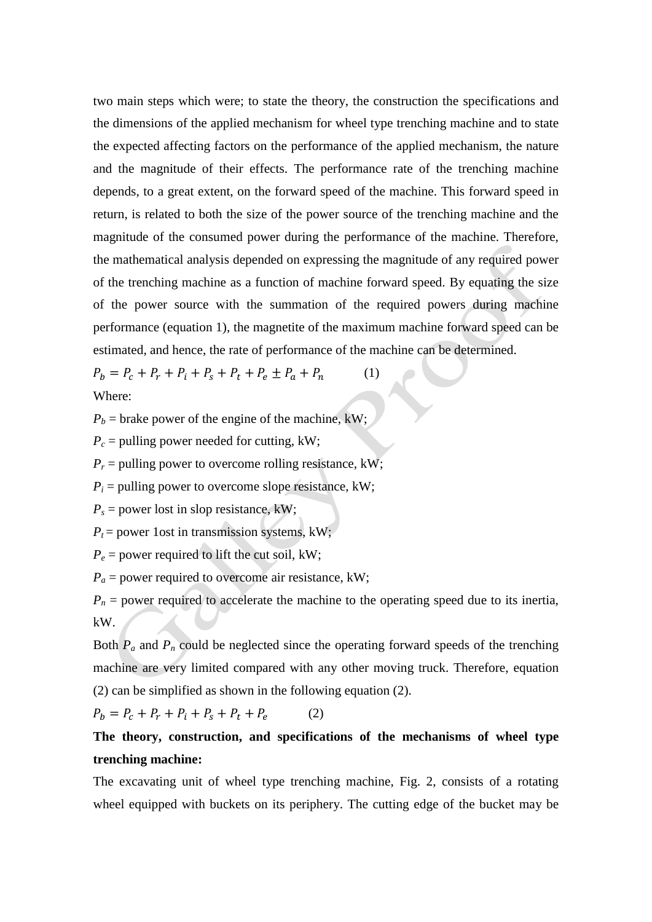two main steps which were; to state the theory, the construction the specifications and the dimensions of the applied mechanism for wheel type trenching machine and to state the expected affecting factors on the performance of the applied mechanism, the nature and the magnitude of their effects. The performance rate of the trenching machine depends, to a great extent, on the forward speed of the machine. This forward speed in return, is related to both the size of the power source of the trenching machine and the magnitude of the consumed power during the performance of the machine. Therefore, the mathematical analysis depended on expressing the magnitude of any required power of the trenching machine as a function of machine forward speed. By equating the size of the power source with the summation of the required powers during machine performance (equation 1), the magnetite of the maximum machine forward speed can be estimated, and hence, the rate of performance of the machine can be determined.

 $P_b = P_c + P_r + P_i + P_s + P_t + P_e \pm P_a + P_n$  (1) Where:

 $P_b$  = brake power of the engine of the machine, kW;

 $P_c$  = pulling power needed for cutting, kW;

 $P_r$  = pulling power to overcome rolling resistance, kW;

 $P_i$  = pulling power to overcome slope resistance, kW;

 $P_s$  = power lost in slop resistance, kW;

 $P_t$  = power 1 ost in transmission systems, kW;

 $P_e$  = power required to lift the cut soil, kW;

 $P_a$  = power required to overcome air resistance, kW;

 $P_n$  = power required to accelerate the machine to the operating speed due to its inertia, kW.

Both  $P_a$  and  $P_n$  could be neglected since the operating forward speeds of the trenching machine are very limited compared with any other moving truck. Therefore, equation (2) can be simplified as shown in the following equation (2).

 $P_b = P_c + P_r + P_i + P_s + P_t + P_e$ (2)

# **The theory, construction, and specifications of the mechanisms of wheel type trenching machine:**

The excavating unit of wheel type trenching machine, Fig. 2, consists of a rotating wheel equipped with buckets on its periphery. The cutting edge of the bucket may be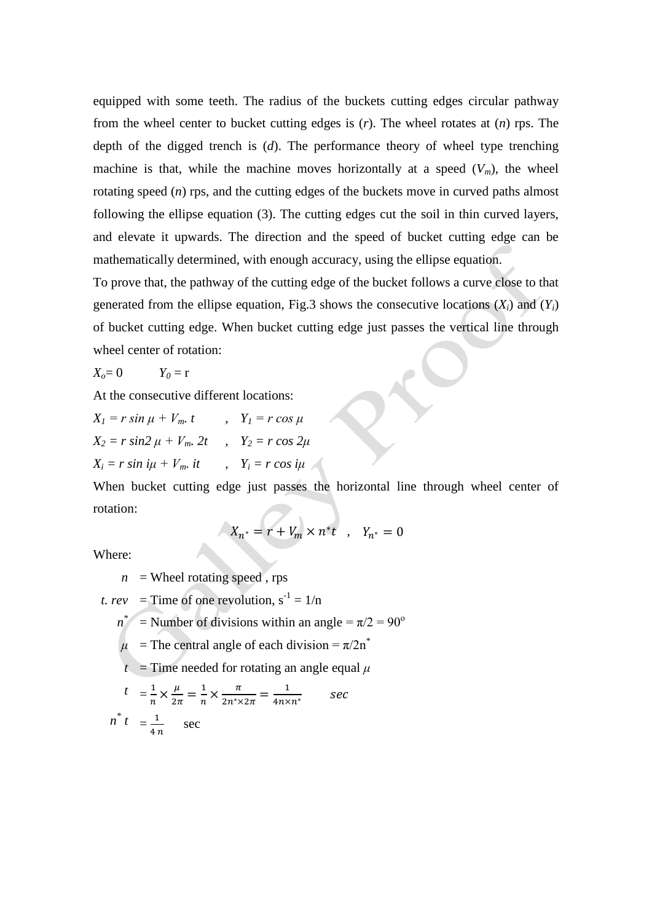equipped with some teeth. The radius of the buckets cutting edges circular pathway from the wheel center to bucket cutting edges is (*r*). The wheel rotates at (*n*) rps. The depth of the digged trench is (*d*). The performance theory of wheel type trenching machine is that, while the machine moves horizontally at a speed  $(V_m)$ , the wheel rotating speed (*n*) rps, and the cutting edges of the buckets move in curved paths almost following the ellipse equation (3). The cutting edges cut the soil in thin curved layers, and elevate it upwards. The direction and the speed of bucket cutting edge can be mathematically determined, with enough accuracy, using the ellipse equation.

To prove that, the pathway of the cutting edge of the bucket follows a curve close to that generated from the ellipse equation, Fig.3 shows the consecutive locations  $(X_i)$  and  $(Y_i)$ of bucket cutting edge. When bucket cutting edge just passes the vertical line through wheel center of rotation:

$$
X_o = 0 \t Y_0 = r
$$

At the consecutive different locations:

 $X_l = r \sin \mu + V_m$ , *t* ,  $Y_l = r \cos \mu$  $X_2 = r \sin 2 \mu + V_m$  2t,  $Y_2 = r \cos 2\mu$  $X_i = r \sin i\mu + V_m$ *it*,  $Y_i = r \cos i\mu$ 

When bucket cutting edge just passes the horizontal line through wheel center of rotation:

$$
X_{n^*}=r+V_m\times n^* t\quad ,\quad Y_{n^*}=0
$$

Where:

 $n =$  Wheel rotating speed, rps

*t. rev* = Time of one revolution,  $s^{-1} = 1/n$ 

- $n^*$  = Number of divisions within an angle =  $\pi/2 = 90^\circ$
- $\mu$  = The central angle of each division =  $\pi/2n^*$
- $t =$  Time needed for rotating an angle equal  $\mu$

$$
t = \frac{1}{n} \times \frac{\mu}{2\pi} = \frac{1}{n} \times \frac{\pi}{2n^* \times 2\pi} = \frac{1}{4n \times n^*}
$$
 sec  

$$
n^* t = \frac{1}{4n}
$$
 sec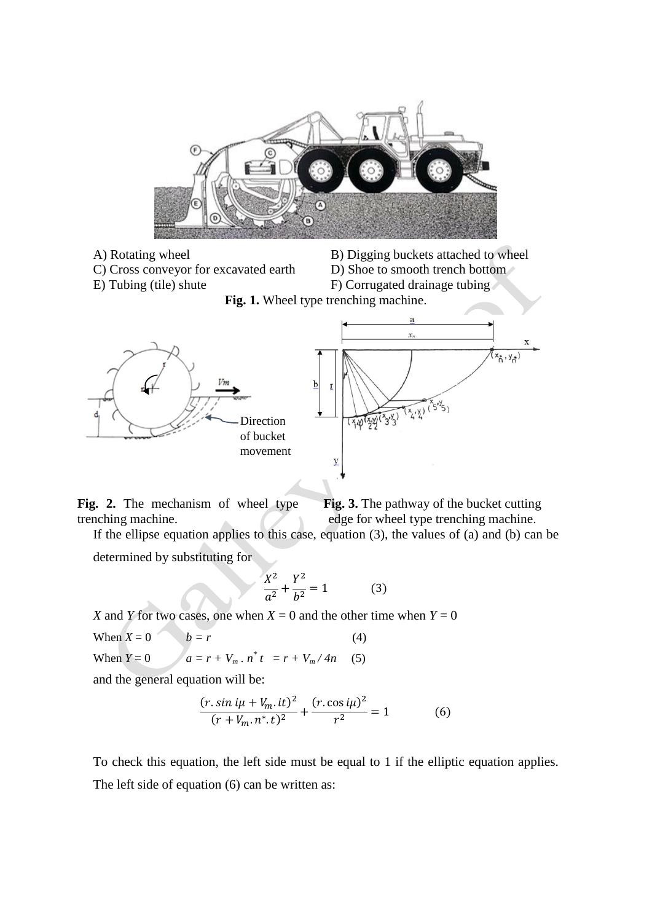

C) Cross conveyor for excavated earth D) Shoe to smooth trench bottom

A) Rotating wheel B) Digging buckets attached to wheel

- 
- 
- E) Tubing (tile) shute F) Corrugated drainage tubing





**Fig. 2.** The mechanism of wheel type trenching machine. **Fig. 3.** The pathway of the bucket cutting edge for wheel type trenching machine.

If the ellipse equation applies to this case, equation (3), the values of (a) and (b) can be

determined by substituting for

$$
\frac{X^2}{a^2} + \frac{Y^2}{b^2} = 1
$$
 (3)

*X* and *Y* for two cases, one when  $X = 0$  and the other time when  $Y = 0$ When  $X = 0$   $b = r$  (4) When  $Y = 0$   $a = r + V_m \cdot n^* t = r + V_m / 4n$  (5)

and the general equation will be:

$$
\frac{(r.\sin i\mu + V_m.it)^2}{(r+V_m.n^*.t)^2} + \frac{(r.\cos i\mu)^2}{r^2} = 1
$$
 (6)

To check this equation, the left side must be equal to 1 if the elliptic equation applies. The left side of equation (6) can be written as: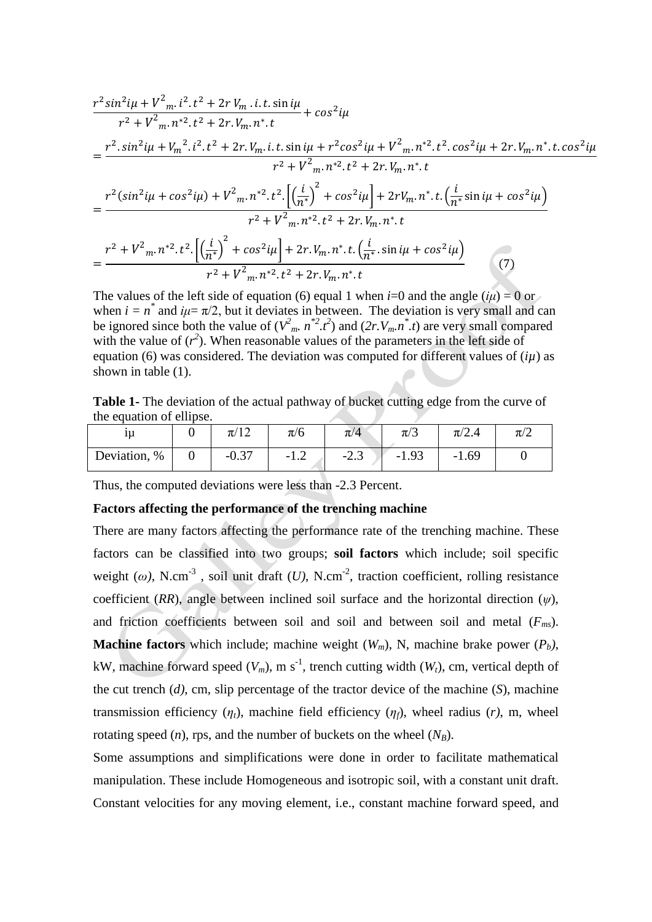$$
\frac{r^2 \sin^2 i\mu + V^2_{m} \cdot i^2 \cdot t^2 + 2r V_m \cdot i \cdot t \cdot \sin i\mu}{r^2 + V^2_{m} \cdot n^{*2} \cdot t^2 + 2r \cdot V_m \cdot n^{*} \cdot t} + \cos^2 i\mu
$$
\n
$$
= \frac{r^2 \cdot \sin^2 i\mu + V_m^2 \cdot i^2 \cdot t^2 + 2r \cdot V_m \cdot i \cdot t \cdot \sin i\mu + r^2 \cos^2 i\mu + V^2_{m} \cdot n^{*2} \cdot t^2 \cdot \cos^2 i\mu + 2r \cdot V_m \cdot n^{*} \cdot t \cdot \cos^2 i\mu}{r^2 + V^2_{m} \cdot n^{*2} \cdot t^2 + 2r \cdot V_m \cdot n^{*} \cdot t}
$$
\n
$$
= \frac{r^2 (\sin^2 i\mu + \cos^2 i\mu) + V^2_{m} \cdot n^{*2} \cdot t^2 \cdot \left[ \left(\frac{i}{n^{*}}\right)^2 + \cos^2 i\mu \right] + 2r V_m \cdot n^{*} \cdot t \cdot \left(\frac{i}{n^{*}} \sin i\mu + \cos^2 i\mu \right)}{r^2 + V^2_{m} \cdot n^{*2} \cdot t^2 + 2r \cdot V_m \cdot n^{*} \cdot t}
$$
\n
$$
= \frac{r^2 + V^2_{m} \cdot n^{*2} \cdot t^2 \cdot \left[ \left(\frac{i}{n^{*}}\right)^2 + \cos^2 i\mu \right] + 2r \cdot V_m \cdot n^{*} \cdot t \cdot \left(\frac{i}{n^{*}} \cdot \sin i\mu + \cos^2 i\mu \right)}{r^2 + V^2_{m} \cdot n^{*2} \cdot t^2 + 2r \cdot V_m \cdot n^{*} \cdot t} \tag{7}
$$

The values of the left side of equation (6) equal 1 when *i*=0 and the angle ( $i\mu$ ) = 0 or when  $i = n^*$  and  $i\mu = \pi/2$ , but it deviates in between. The deviation is very small and can be ignored since both the value of  $(V^2_m, n^*2, t^2)$  and  $(2r, V_m, n^* .t)$  are very small compared with the value of  $(r^2)$ . When reasonable values of the parameters in the left side of equation (6) was considered. The deviation was computed for different values of  $(i\mu)$  as shown in table (1).

**Table 1-** The deviation of the actual pathway of bucket cutting edge from the curve of the equation of ellipse.

| 1u                 | $\pi/1$ $\hat{ }$         | $\pi/6$ | $\pi/4$ | $\pi/3$                  | $\sqrt{ }$<br>$\pi/2.4$          | $\pi/2$ |
|--------------------|---------------------------|---------|---------|--------------------------|----------------------------------|---------|
| $\%$<br>Deviation, | $\Omega$ $27$<br>$-U.5$ , | $-1.4$  | -2.J    | Q <sub>2</sub><br>$-1.9$ | 1.69<br>$\overline{\phantom{0}}$ |         |

Thus, the computed deviations were less than -2.3 Percent.

#### **Factors affecting the performance of the trenching machine**

There are many factors affecting the performance rate of the trenching machine. These factors can be classified into two groups; **soil factors** which include; soil specific weight ( $\omega$ ), N.cm<sup>-3</sup>, soil unit draft (*U*), N.cm<sup>-2</sup>, traction coefficient, rolling resistance coefficient (*RR*), angle between inclined soil surface and the horizontal direction ( $\psi$ ), and friction coefficients between soil and soil and between soil and metal (*Fms*). **Machine factors** which include; machine weight  $(W_m)$ , N, machine brake power  $(P_b)$ , kW, machine forward speed  $(V_m)$ , m s<sup>-1</sup>, trench cutting width  $(W_t)$ , cm, vertical depth of the cut trench (*d)*, cm, slip percentage of the tractor device of the machine (*S*), machine transmission efficiency  $(\eta_t)$ , machine field efficiency  $(\eta_t)$ , wheel radius  $(r)$ , m, wheel rotating speed  $(n)$ , rps, and the number of buckets on the wheel  $(N_B)$ .

Some assumptions and simplifications were done in order to facilitate mathematical manipulation. These include Homogeneous and isotropic soil, with a constant unit draft. Constant velocities for any moving element, i.e., constant machine forward speed, and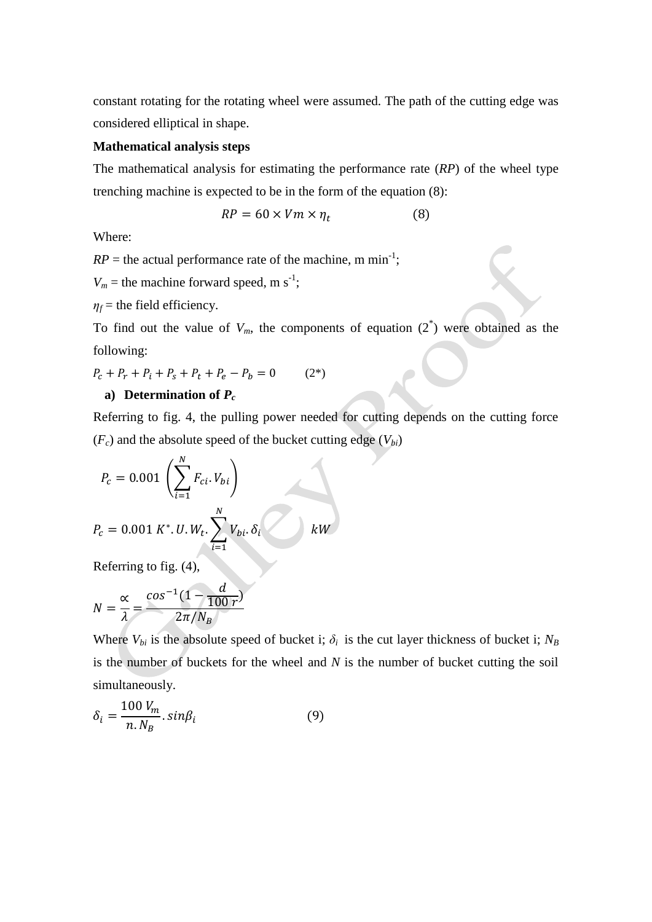constant rotating for the rotating wheel were assumed. The path of the cutting edge was considered elliptical in shape.

#### **Mathematical analysis steps**

The mathematical analysis for estimating the performance rate (*RP*) of the wheel type trenching machine is expected to be in the form of the equation (8):

$$
RP = 60 \times Vm \times \eta_t \tag{8}
$$

Where:

 $RP =$  the actual performance rate of the machine, m min<sup>-1</sup>;

 $V_m$  = the machine forward speed, m s<sup>-1</sup>;

 $\eta_f$  = the field efficiency.

To find out the value of  $V_m$ , the components of equation  $(2^*)$  were obtained as the following:

$$
P_c + P_r + P_i + P_s + P_t + P_e - P_b = 0 \tag{2*}
$$

#### a) **Determination of**  $P_c$

Referring to fig. 4, the pulling power needed for cutting depends on the cutting force  $(F_c)$  and the absolute speed of the bucket cutting edge  $(V_{bi})$ 

$$
P_c = 0.001 \left( \sum_{i=1}^{N} F_{ci} \cdot V_{bi} \right)
$$
  

$$
P_c = 0.001 K^* \cdot U \cdot W_t \cdot \sum_{i=1}^{N} V_{bi} \cdot \delta_i
$$

Referring to fig. (4),

$$
N = \frac{\alpha}{\lambda} = \frac{\cos^{-1}(1 - \frac{d}{100r})}{2\pi/N_B}
$$

Where  $V_{bi}$  is the absolute speed of bucket i;  $\delta_i$  is the cut layer thickness of bucket i;  $N_B$ is the number of buckets for the wheel and *N* is the number of bucket cutting the soil simultaneously.

$$
\delta_i = \frac{100 V_m}{n. N_B} . sin \beta_i \tag{9}
$$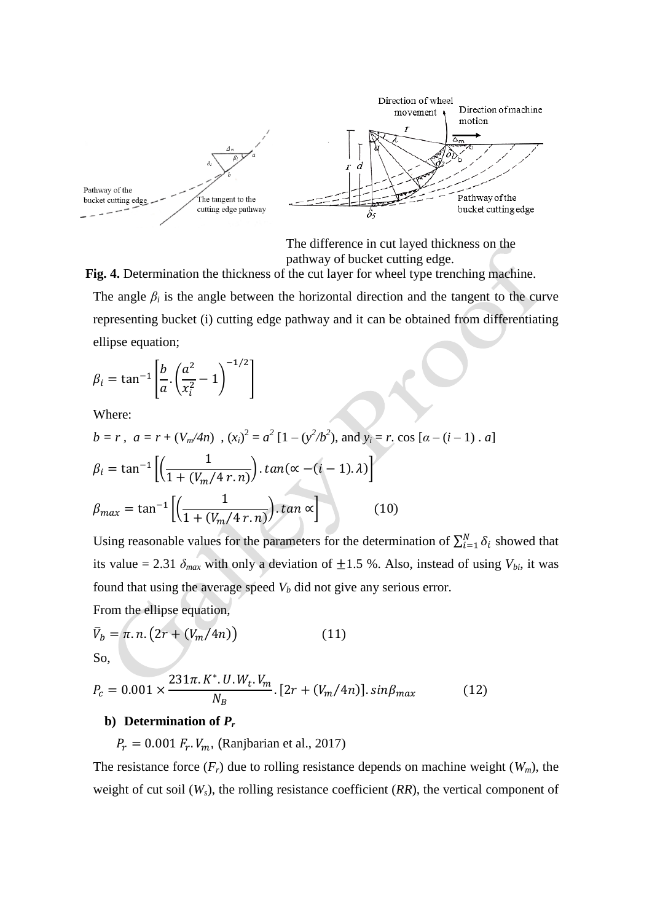

The difference in cut layed thickness on the pathway of bucket cutting edge.

**Fig. 4.** Determination the thickness of the cut layer for wheel type trenching machine.

The angle  $\beta_i$  is the angle between the horizontal direction and the tangent to the curve representing bucket (i) cutting edge pathway and it can be obtained from differentiating ellipse equation;

$$
\beta_i = \tan^{-1}\left[\frac{b}{a} \cdot \left(\frac{a^2}{x_i^2} - 1\right)^{-1/2}\right]
$$

Where:

$$
b = r, \ a = r + (V_m/4n), (x_i)^2 = a^2 [1 - (y^2/b^2), \text{ and } y_i = r \text{.} \cos [a - (i - 1) \cdot a]
$$

$$
\beta_i = \tan^{-1} \left[ \left( \frac{1}{1 + (V_m/4 \ r.n)} \right) \cdot \tan(\alpha - (i - 1) \cdot \lambda) \right]
$$

$$
\beta_{max} = \tan^{-1} \left[ \left( \frac{1}{1 + (V_m/4 \ r.n)} \right) \cdot \tan \alpha \right] \qquad (10)
$$

Using reasonable values for the parameters for the determination of  $\sum_{i=1}^{N} \delta_i$  showed that its value = 2.31  $\delta_{max}$  with only a deviation of  $\pm 1.5$  %. Also, instead of using  $V_{bi}$ , it was found that using the average speed  $V_b$  did not give any serious error.

From the ellipse equation,

$$
\overline{V}_b = \pi \cdot n \cdot (2r + (V_m/4n)) \tag{11}
$$

So,

$$
P_c = 0.001 \times \frac{231\pi.K^* . U.W_t.V_m}{N_B} . [2r + (V_m/4n)]. sin\beta_{max}
$$
 (12)

### **b**) **Determination of**  $P_r$

 $P_r = 0.001 F_r$ .  $V_m$ , (Ranjbarian et al., 2017)

The resistance force  $(F_r)$  due to rolling resistance depends on machine weight  $(W_m)$ , the weight of cut soil  $(W_s)$ , the rolling resistance coefficient  $(RR)$ , the vertical component of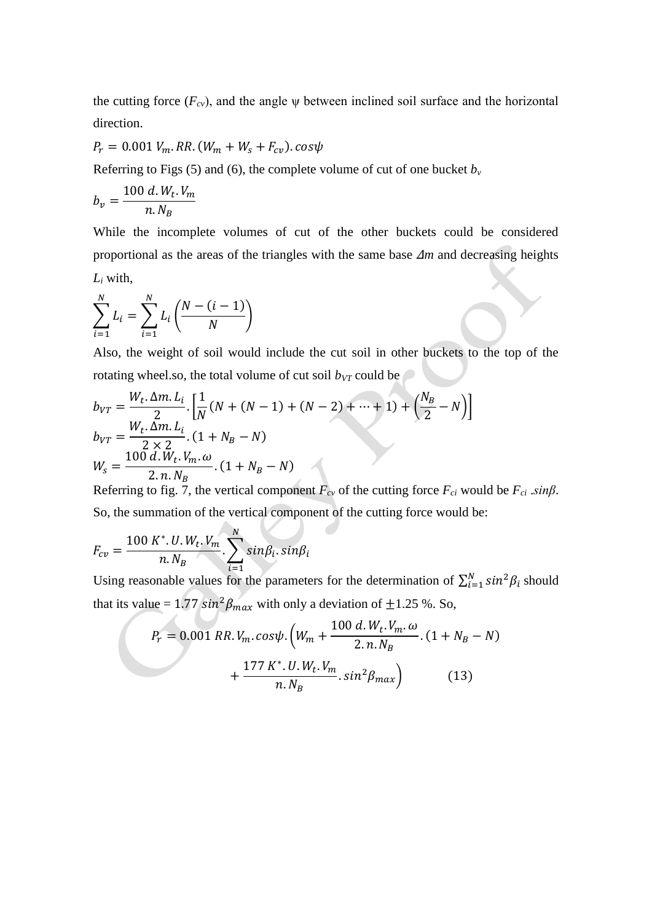the cutting force  $(F_{cv})$ , and the angle  $\psi$  between inclined soil surface and the horizontal direction.

 $P_r = 0.001 V_m$ . RR.  $(W_m + W_s + F_{cv})$ . cos $\psi$ 

Referring to Figs (5) and (6), the complete volume of cut of one bucket  $b<sub>v</sub>$ 

$$
b_v = \frac{100 \, d. \, W_t. \, V_m}{n. \, N_B}
$$

While the incomplete volumes of cut of the other buckets could be considered proportional as the areas of the triangles with the same base Δ*m* and decreasing heights *L<sup>i</sup>* with,

$$
\sum_{i=1}^{N} L_i = \sum_{i=1}^{N} L_i \left( \frac{N - (i-1)}{N} \right)
$$

Also, the weight of soil would include the cut soil in other buckets to the top of the rotating wheel.so, the total volume of cut soil  $b_{VT}$  could be

$$
b_{VT} = \frac{W_t \cdot \Delta m \cdot L_i}{2} \cdot \left[ \frac{1}{N} (N + (N - 1) + (N - 2) + \dots + 1) + \left( \frac{N_B}{2} - N \right) \right]
$$
  
\n
$$
b_{VT} = \frac{W_t \cdot \Delta m \cdot L_i}{2 \times 2} \cdot (1 + N_B - N)
$$
  
\n
$$
W_s = \frac{100 \, d \cdot W_t \cdot V_m \cdot \omega}{2 \cdot n \cdot N_B} \cdot (1 + N_B - N)
$$

Referring to fig. 7, the vertical component  $F_{cv}$  of the cutting force  $F_{ci}$  would be  $F_{ci}$  .*sinß*. So, the summation of the vertical component of the cutting force would be:

$$
F_{cv} = \frac{100 K^* . U . W_t . V_m}{n . N_B} . \sum_{i=1}^{N} sin \beta_i . sin \beta_i
$$

Using reasonable values for the parameters for the determination of  $\sum_{i=1}^{N} \sin^2 \beta_i$  should that its value =  $1.77 \sin^2 \beta_{max}$  with only a deviation of  $\pm 1.25$  %. So,

$$
P_r = 0.001 \, RR. \, V_m. \, \cos \psi. \left( W_m + \frac{100 \, d. \, W_t. \, V_m. \, \omega}{2. \, n. \, N_B} \cdot (1 + N_B - N) + \frac{177 \, K^*. \, U. \, W_t. \, V_m}{n. \, N_B} . \, \sin^2 \beta_{max} \right) \tag{13}
$$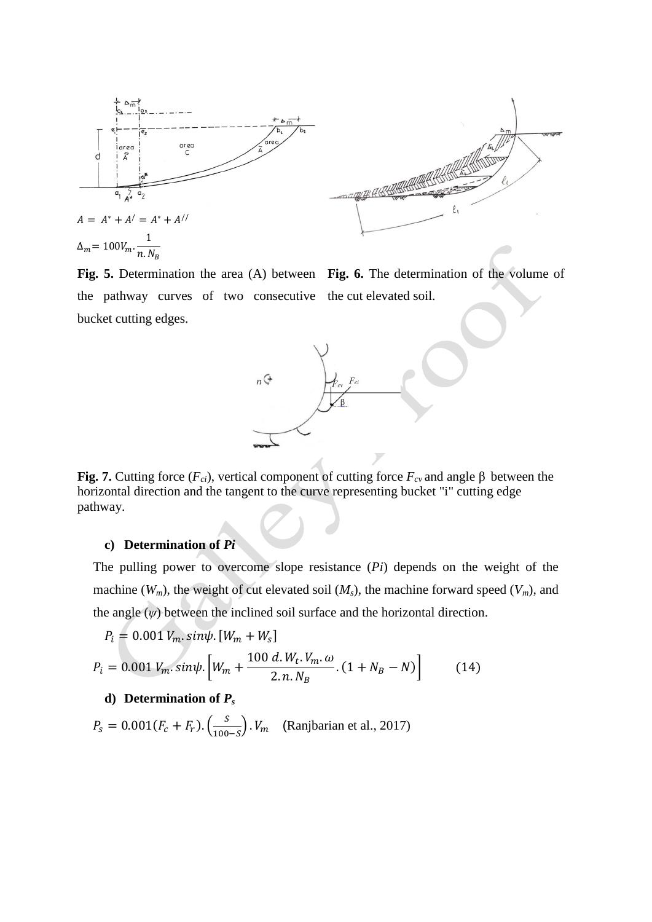



**Fig. 5.** Determination the area (A) between **Fig. 6.** The determination of the volume of the pathway curves of two consecutive the cut elevated soil. bucket cutting edges.



**Fig. 7.** Cutting force (*F<sub>ci</sub>*), vertical component of cutting force *F<sub>cv</sub>* and angle β between the horizontal direction and the tangent to the curve representing bucket "i" cutting edge pathway.

## **c) Determination of** *Pi*

The pulling power to overcome slope resistance (*Pi*) depends on the weight of the machine ( $W_m$ ), the weight of cut elevated soil ( $M_s$ ), the machine forward speed ( $V_m$ ), and the angle  $(\psi)$  between the inclined soil surface and the horizontal direction.

$$
P_i = 0.001 V_m \cdot \sin \psi \cdot [W_m + W_s]
$$
  

$$
P_i = 0.001 V_m \cdot \sin \psi \cdot \left[W_m + \frac{100 d \cdot W_t \cdot V_m \cdot \omega}{2 \cdot n \cdot N_B} \cdot (1 + N_B - N)\right]
$$
(14)

#### **d**) **Determination of**  $P_s$

 $P_s = 0.001(F_c + F_r) \cdot \left(\frac{S}{1000}\right)$  $\left(\frac{3}{100-S}\right)$ .  $V_m$  (Ranjbarian et al., 2017)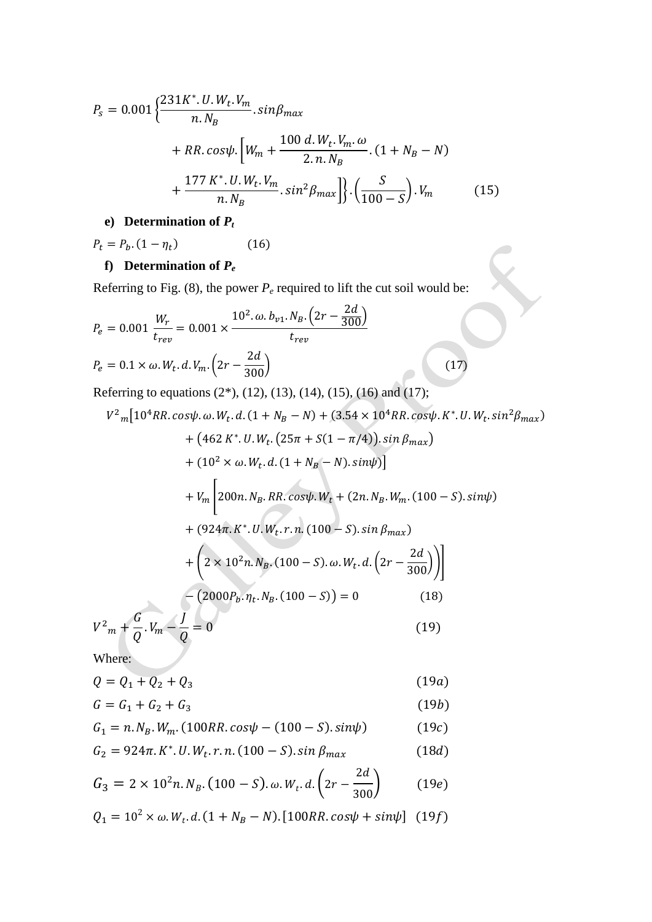$$
P_{s} = 0.001 \left\{ \frac{231K^{*}. U.W_{t}. V_{m}}{n.N_{B}} . sin\beta_{max} + RR. cos\psi \cdot \left[ W_{m} + \frac{100 d. W_{t}. V_{m}. \omega}{2.n.N_{B}} . (1 + N_{B} - N) + \frac{177 K^{*}. U.W_{t}. V_{m}}{n.N_{B}} . sin^{2} \beta_{max} \right] \right\} . \left( \frac{S}{100 - S} \right) . V_{m}
$$
 (15)

## **e) Determination of** *P<sup>t</sup>*

 $(16)$  $P_t = P_b (1 - \eta_t)$ 

# **f**) **Determination of**  $P_e$

Referring to Fig. (8), the power  $P_e$  required to lift the cut soil would be:

$$
P_e = 0.001 \frac{W_r}{t_{rev}} = 0.001 \times \frac{10^2 \cdot \omega \cdot b_{v1} \cdot N_B \cdot (2r - \frac{2d}{300})}{t_{rev}}
$$
  
\n
$$
P_e = 0.1 \times \omega \cdot W_t \cdot d \cdot V_m \cdot (2r - \frac{2d}{300}) \qquad (17)
$$
  
\nReferring to equations (2\*), (12), (13), (14), (15), (16) and (17);  
\n
$$
V^2_m [10^4 RR \cdot cos\psi \cdot \omega \cdot W_t \cdot d \cdot (1 + N_B - N) + (3.54 \times 10^4 RR \cdot cos\psi \cdot K^* \cdot U \cdot W_t \cdot sin^2\beta_{max})
$$
\n
$$
+ (462 K^* \cdot U \cdot W_t \cdot (25\pi + S(1 - \pi/4)) \cdot sin \beta_{max})
$$
\n
$$
+ (10^2 \times \omega \cdot W_t \cdot d \cdot (1 + N_B - N) \cdot sin\psi)]
$$
\n
$$
+ V_m \left[ 200n \cdot N_B \cdot RR \cdot cos\psi \cdot W_t + (2n \cdot N_B \cdot W_m \cdot (100 - S) \cdot sin\psi) + (924\pi \cdot K^* \cdot U \cdot W_t \cdot r \cdot n \cdot (100 - S) \cdot sin \beta_{max})
$$
\n
$$
+ \left( 2 \times 10^2 n \cdot N_B \cdot (100 - S) \cdot \omega \cdot W_t \cdot d \cdot (2r - \frac{2d}{300}) \right) \right]
$$
\n
$$
- (2000P_b \cdot \eta_t \cdot N_B \cdot (100 - S)) = 0 \qquad (18)
$$
\n
$$
V^2_m + \frac{G}{Q} \cdot V_m - \frac{J}{Q} = 0 \qquad (19)
$$

Where:

$$
Q = Q_1 + Q_2 + Q_3 \tag{19a}
$$

$$
G = G_1 + G_2 + G_3 \tag{19b}
$$

$$
G_1 = n. N_B. W_m. (100RR. cos\psi - (100 - S). sin\psi)
$$
 (19c)

$$
G_2 = 924\pi. K^* . U. W_t . r. n. (100 - S). \sin \beta_{max}
$$
 (18d)

$$
G_3 = 2 \times 10^2 n. N_B. (100 - S). \omega. W_t. d. (2r - \frac{2d}{300}) \tag{19e}
$$

$$
Q_1 = 10^2 \times \omega. W_t \, d. (1 + N_B - N). [100RR \cos\psi + \sin\psi] \tag{19f}
$$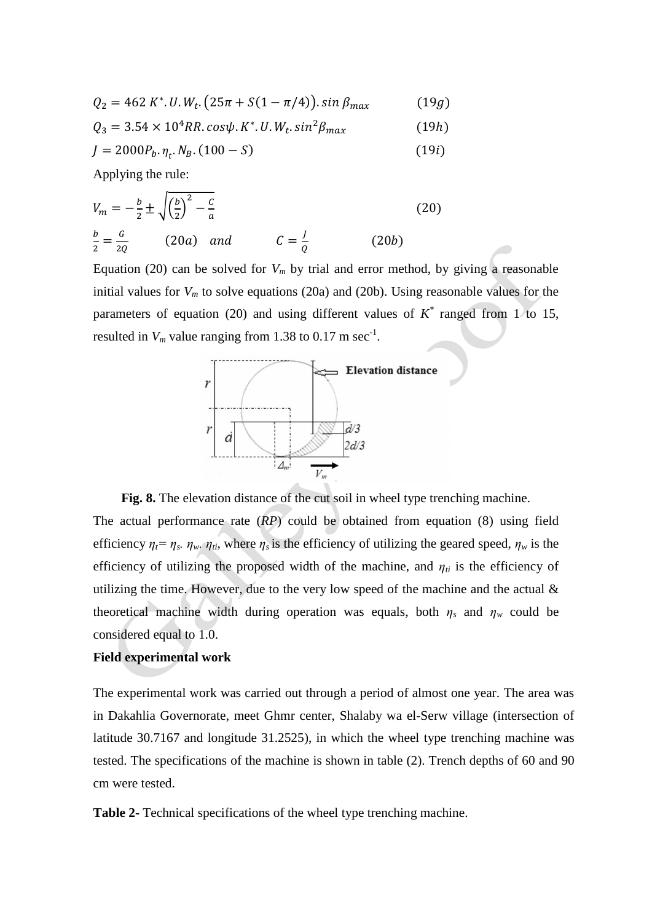$$
Q_2 = 462 K^* . U. W_t. (25\pi + S(1 - \pi/4)) . sin \beta_{max}
$$
 (19*g*)

 $Q_3 = 3.54 \times 10^4 RR$ . cos $\psi$ . K<sup>\*</sup>. U. W<sub>t</sub>.  $(19h)$ 

$$
J = 2000P_b \cdot \eta_t \cdot N_B \cdot (100 - S) \tag{19i}
$$

Applying the rule:

$$
V_m = -\frac{b}{2} \pm \sqrt{\left(\frac{b}{2}\right)^2 - \frac{c}{a}}
$$
 (20)  

$$
\frac{b}{2} = \frac{c}{2Q}
$$
 (20a) and 
$$
C = \frac{1}{Q}
$$
 (20b)

Equation (20) can be solved for  $V_m$  by trial and error method, by giving a reasonable initial values for *V<sup>m</sup>* to solve equations (20a) and (20b). Using reasonable values for the parameters of equation (20) and using different values of  $K^*$  ranged from 1 to 15, resulted in  $V_m$  value ranging from 1.38 to 0.17 m sec<sup>-1</sup>.



**Fig. 8.** The elevation distance of the cut soil in wheel type trenching machine.

The actual performance rate (*RP*) could be obtained from equation (8) using field efficiency  $\eta_t = \eta_s$ *.*  $\eta_w$ *.*  $\eta_{ti}$ *,* where  $\eta_s$  is the efficiency of utilizing the geared speed,  $\eta_w$  is the efficiency of utilizing the proposed width of the machine, and  $\eta_{ti}$  is the efficiency of utilizing the time. However, due to the very low speed of the machine and the actual  $\&$ theoretical machine width during operation was equals, both  $\eta_s$  and  $\eta_w$  could be considered equal to 1.0.

#### **Field experimental work**

The experimental work was carried out through a period of almost one year. The area was in Dakahlia Governorate, meet Ghmr center, Shalaby wa el-Serw village (intersection of latitude 30.7167 and longitude 31.2525), in which the wheel type trenching machine was tested. The specifications of the machine is shown in table (2). Trench depths of 60 and 90 cm were tested.

**Table 2-** Technical specifications of the wheel type trenching machine.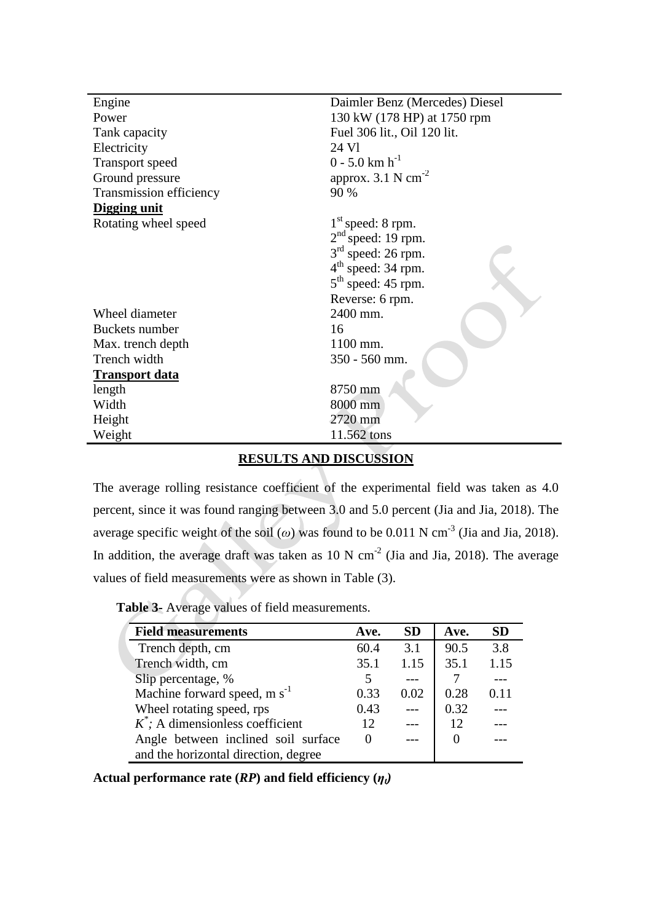| Engine                  | Daimler Benz (Mercedes) Diesel   |  |  |  |
|-------------------------|----------------------------------|--|--|--|
| Power                   | 130 kW (178 HP) at 1750 rpm      |  |  |  |
| Tank capacity           | Fuel 306 lit., Oil 120 lit.      |  |  |  |
| Electricity             | 24 Vl                            |  |  |  |
| Transport speed         | $0 - 5.0$ km $h^{-1}$            |  |  |  |
| Ground pressure         | approx. $3.1$ N cm <sup>-2</sup> |  |  |  |
| Transmission efficiency | 90 %                             |  |  |  |
| Digging unit            |                                  |  |  |  |
| Rotating wheel speed    | $1st$ speed: 8 rpm.              |  |  |  |
|                         | $2nd$ speed: 19 rpm.             |  |  |  |
|                         | $3rd$ speed: 26 rpm.             |  |  |  |
|                         | $4th$ speed: 34 rpm.             |  |  |  |
|                         | $5th$ speed: 45 rpm.             |  |  |  |
|                         | Reverse: 6 rpm.                  |  |  |  |
| Wheel diameter          | 2400 mm.                         |  |  |  |
| Buckets number          | 16                               |  |  |  |
| Max. trench depth       | 1100 mm.                         |  |  |  |
| Trench width            | 350 - 560 mm.                    |  |  |  |
| <b>Transport data</b>   |                                  |  |  |  |
| length                  | 8750 mm                          |  |  |  |
| Width                   | 8000 mm                          |  |  |  |
| Height                  | 2720 mm                          |  |  |  |
| Weight                  | 11.562 tons                      |  |  |  |
|                         |                                  |  |  |  |

# **RESULTS AND DISCUSSION**

The average rolling resistance coefficient of the experimental field was taken as 4.0 percent, since it was found ranging between 3.0 and 5.0 percent (Jia and Jia, 2018). The average specific weight of the soil ( $\omega$ ) was found to be 0.011 N cm<sup>-3</sup> (Jia and Jia, 2018). In addition, the average draft was taken as 10 N  $cm^{-2}$  (Jia and Jia, 2018). The average values of field measurements were as shown in Table (3).

**Table 3-** Average values of field measurements.

| <b>Field measurements</b>            | Ave. | SD.  | Ave. | <b>SD</b> |
|--------------------------------------|------|------|------|-----------|
| Trench depth, cm                     | 60.4 | 3.1  | 90.5 | 3.8       |
| Trench width, cm                     | 35.1 | 1.15 | 35.1 | 1.15      |
| Slip percentage, %                   | 5    |      |      |           |
| Machine forward speed, $m s^{-1}$    | 0.33 | 0.02 | 0.28 | 0.11      |
| Wheel rotating speed, rps            | 0.43 |      | 0.32 |           |
| $K^*$ ; A dimensionless coefficient  | 12   |      | 12   |           |
| Angle between inclined soil surface  |      |      |      |           |
| and the horizontal direction, degree |      |      |      |           |

Actual performance rate  $(RP)$  and field efficiency  $(\eta_t)$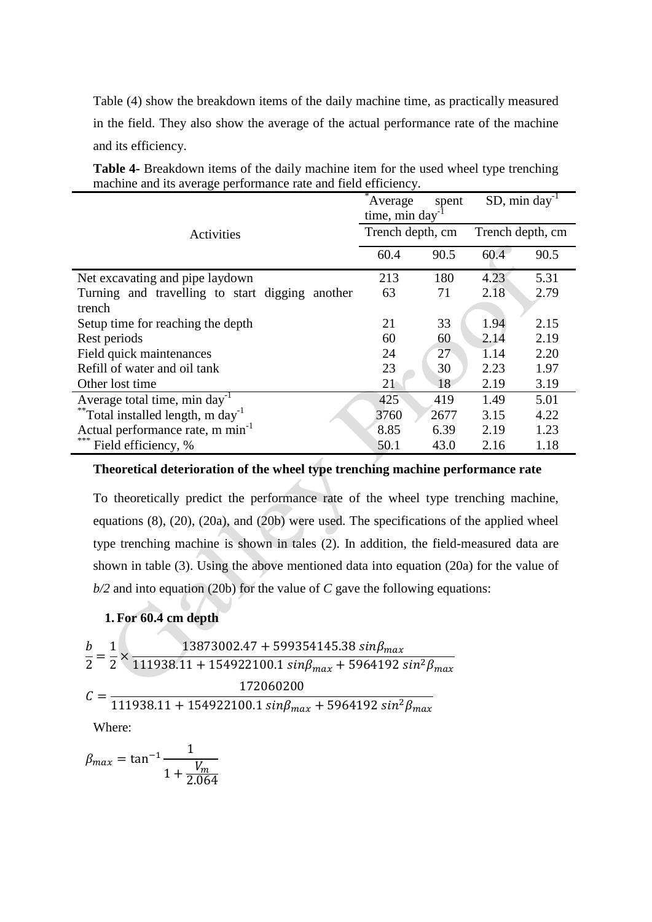Table (4) show the breakdown items of the daily machine time, as practically measured in the field. They also show the average of the actual performance rate of the machine and its efficiency.

| muenne and no average performance rate and freid efficiency. |                                   |      |                              |      |  |  |  |
|--------------------------------------------------------------|-----------------------------------|------|------------------------------|------|--|--|--|
|                                                              | Average<br>spent<br>time, min day |      | $SD$ , min day <sup>-1</sup> |      |  |  |  |
| Activities                                                   | Trench depth, cm                  |      | Trench depth, cm             |      |  |  |  |
|                                                              | 60.4                              | 90.5 | 60.4                         | 90.5 |  |  |  |
| Net excavating and pipe laydown                              | 213                               | 180  | 4.23                         | 5.31 |  |  |  |
| Turning and travelling to start digging another              | 63                                | 71   | 2.18                         | 2.79 |  |  |  |
| trench                                                       |                                   |      |                              |      |  |  |  |
| Setup time for reaching the depth                            | 21                                | 33   | 1.94                         | 2.15 |  |  |  |
| Rest periods                                                 | 60                                | 60   | 2.14                         | 2.19 |  |  |  |
| Field quick maintenances                                     | 24                                | 27   | 1.14                         | 2.20 |  |  |  |
| Refill of water and oil tank                                 | 23                                | 30   | 2.23                         | 1.97 |  |  |  |
| Other lost time                                              | 21                                | 18   | 2.19                         | 3.19 |  |  |  |
| Average total time, min day <sup>-1</sup>                    | 425                               | 419  | 1.49                         | 5.01 |  |  |  |
| **Total installed length, m day <sup>-1</sup>                | 3760                              | 2677 | 3.15                         | 4.22 |  |  |  |
| Actual performance rate, m min <sup>-1</sup>                 | 8.85                              | 6.39 | 2.19                         | 1.23 |  |  |  |
| ***<br>Field efficiency, %                                   | 50.1                              | 43.0 | 2.16                         | 1.18 |  |  |  |

**Table 4-** Breakdown items of the daily machine item for the used wheel type trenching machine and its average performance rate and field efficiency.

### **Theoretical deterioration of the wheel type trenching machine performance rate**

To theoretically predict the performance rate of the wheel type trenching machine, equations (8), (20), (20a), and (20b) were used. The specifications of the applied wheel type trenching machine is shown in tales (2). In addition, the field-measured data are shown in table (3). Using the above mentioned data into equation (20a) for the value of *b/2* and into equation (20b) for the value of *C* gave the following equations:

## **1. For 60.4 cm depth**

$$
\frac{b}{2} = \frac{1}{2} \times \frac{13873002.47 + 599354145.38 \sin\beta_{max}}{111938.11 + 154922100.1 \sin\beta_{max} + 5964192 \sin^2\beta_{max}}
$$

$$
C = \frac{172060200}{111938.11 + 154922100.1 \sin\beta_{max} + 5964192 \sin^2\beta_{max}}
$$
Where.

Where:

 $\beta$  $\mathbf{1}$  $1 + \frac{V_1}{20}$  $\overline{2}$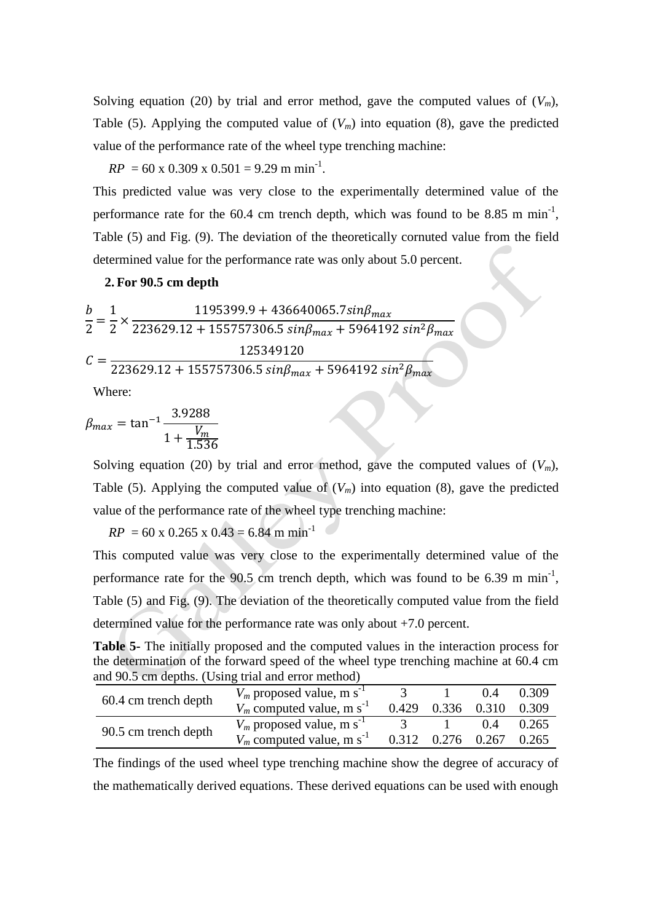Solving equation (20) by trial and error method, gave the computed values of  $(V_m)$ , Table (5). Applying the computed value of  $(V_m)$  into equation (8), gave the predicted value of the performance rate of the wheel type trenching machine:

 $RP = 60 \times 0.309 \times 0.501 = 9.29 \text{ m min}^{-1}$ .

This predicted value was very close to the experimentally determined value of the performance rate for the  $60.4$  cm trench depth, which was found to be 8.85 m min<sup>-1</sup>, Table (5) and Fig. (9). The deviation of the theoretically cornuted value from the field determined value for the performance rate was only about 5.0 percent.

### **2. For 90.5 cm depth**

$$
\frac{b}{2} = \frac{1}{2} \times \frac{1195399.9 + 436640065.7 \sin\beta_{max}}{223629.12 + 155757306.5 \sin\beta_{max} + 5964192 \sin^2\beta_{max}}
$$

$$
C = \frac{125349120}{223629.12 + 155757306.5 \sin\beta_{max} + 5964192 \sin^2\beta_{max}}
$$

Where:

$$
\beta_{max} = \tan^{-1} \frac{3.9288}{1 + \frac{V_m}{1.536}}
$$

Solving equation (20) by trial and error method, gave the computed values of  $(V_m)$ , Table (5). Applying the computed value of  $(V_m)$  into equation (8), gave the predicted value of the performance rate of the wheel type trenching machine:

 $RP = 60 \times 0.265 \times 0.43 = 6.84 \text{ m min}^{-1}$ 

This computed value was very close to the experimentally determined value of the performance rate for the  $90.5$  cm trench depth, which was found to be 6.39 m min<sup>-1</sup>, Table (5) and Fig. (9). The deviation of the theoretically computed value from the field determined value for the performance rate was only about +7.0 percent.

**Table 5-** The initially proposed and the computed values in the interaction process for the determination of the forward speed of the wheel type trenching machine at 60.4 cm and 90.5 cm depths. (Using trial and error method)

| 60.4 cm trench depth | $V_m$ proposed value, m s <sup>-1</sup> |                         | (1.4) | 0.309 |
|----------------------|-----------------------------------------|-------------------------|-------|-------|
|                      | $V_m$ computed value, m s <sup>-1</sup> | 0.429 0.336 0.310       |       | 0.309 |
| 90.5 cm trench depth | $V_m$ proposed value, m s <sup>-1</sup> |                         | 0.4   | 0.265 |
|                      | $V_m$ computed value, m s <sup>-1</sup> | $0.312$ $0.276$ $0.267$ |       | 0.265 |

The findings of the used wheel type trenching machine show the degree of accuracy of the mathematically derived equations. These derived equations can be used with enough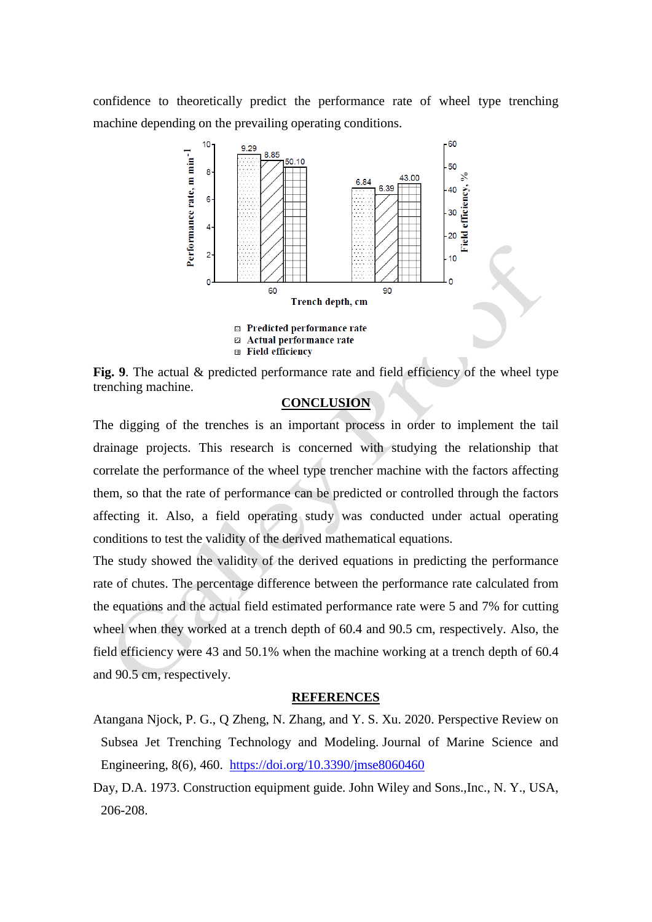confidence to theoretically predict the performance rate of wheel type trenching machine depending on the prevailing operating conditions.



Fig. 9. The actual & predicted performance rate and field efficiency of the wheel type trenching machine.

## **CONCLUSION**

The digging of the trenches is an important process in order to implement the tail drainage projects. This research is concerned with studying the relationship that correlate the performance of the wheel type trencher machine with the factors affecting them, so that the rate of performance can be predicted or controlled through the factors affecting it. Also, a field operating study was conducted under actual operating conditions to test the validity of the derived mathematical equations.

The study showed the validity of the derived equations in predicting the performance rate of chutes. The percentage difference between the performance rate calculated from the equations and the actual field estimated performance rate were 5 and 7% for cutting wheel when they worked at a trench depth of 60.4 and 90.5 cm, respectively. Also, the field efficiency were 43 and 50.1% when the machine working at a trench depth of 60.4 and 90.5 cm, respectively.

#### **REFERENCES**

- Atangana Njock, P. G., Q Zheng, N. Zhang, and Y. S. Xu. 2020. Perspective Review on Subsea Jet Trenching Technology and Modeling. Journal of Marine Science and Engineering, 8(6), 460. <https://doi.org/10.3390/jmse8060460>
- Day, D.A. 1973. Construction equipment guide. John Wiley and Sons.,Inc., N. Y., USA, 206-208.